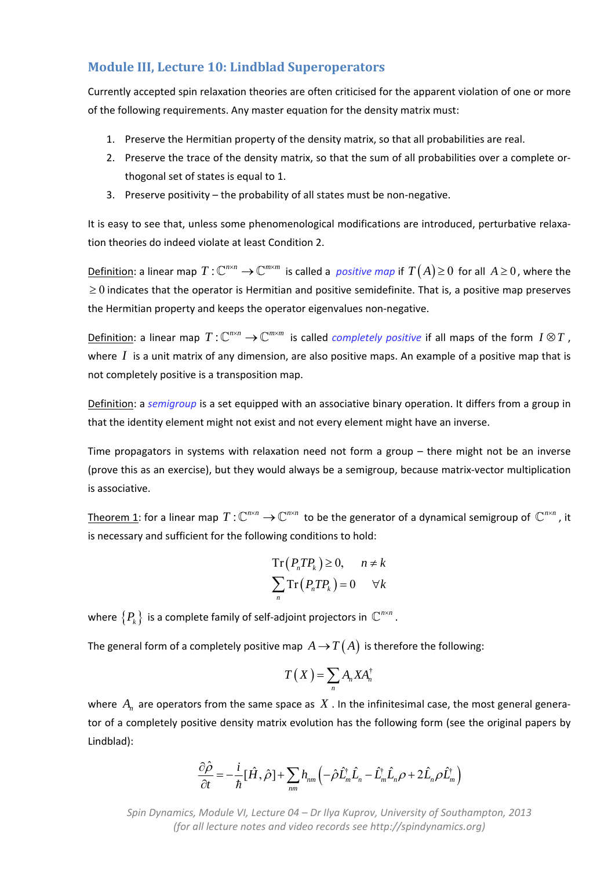## **Module III, Lecture 10: Lindblad Superoperators**

Currently accepted spin relaxation theories are often criticised for the apparent violation of one or more of the following requirements. Any master equation for the density matrix must:

- 1. Preserve the Hermitian property of the density matrix, so that all probabilities are real.
- 2. Preserve the trace of the density matrix, so that the sum of all probabilities over a complete or‐ thogonal set of states is equal to 1.
- 3. Preserve positivity the probability of all states must be non‐negative.

It is easy to see that, unless some phenomenological modifications are introduced, perturbative relaxation theories do indeed violate at least Condition 2.

Definition: a linear map  $T: \mathbb{C}^{n \times n} \to \mathbb{C}^{m \times m}$  is called a *positive map* if  $T(A) \geq 0$  for all  $A \geq 0$ , where the  $\geq 0$  indicates that the operator is Hermitian and positive semidefinite. That is, a positive map preserves the Hermitian property and keeps the operator eigenvalues non‐negative.

Definition: a linear map  $T: \mathbb{C}^{n \times n} \to \mathbb{C}^{m \times m}$  is called *completely positive* if all maps of the form  $I \otimes T$ , where  $I$  is a unit matrix of any dimension, are also positive maps. An example of a positive map that is not completely positive is a transposition map.

Definition: a *semigroup* is a set equipped with an associative binary operation. It differs from a group in that the identity element might not exist and not every element might have an inverse.

Time propagators in systems with relaxation need not form a group – there might not be an inverse (prove this as an exercise), but they would always be a semigroup, because matrix‐vector multiplication is associative.

Theorem 1: for a linear map  $T: \mathbb{C}^{n \times n} \to \mathbb{C}^{n \times n}$  to be the generator of a dynamical semigroup of  $\mathbb{C}^{n \times n}$ , it is necessary and sufficient for the following conditions to hold:

$$
Tr(P_n T P_k) \ge 0, \quad n \ne k
$$
  

$$
\sum_n Tr(P_n T P_k) = 0 \quad \forall k
$$

where  $\{P_k\}$  is a complete family of self-adjoint projectors in  $\mathbb{C}^{n \times n}$ .

The general form of a completely positive map  $A \rightarrow T(A)$  is therefore the following:

$$
T(X) = \sum_{n} A_{n} X A_{n}^{\dagger}
$$

where  $A_n$  are operators from the same space as  $X$ . In the infinitesimal case, the most general generator of a completely positive density matrix evolution has the following form (see the original papers by Lindblad):

$$
\frac{\partial \hat{\rho}}{\partial t} = -\frac{i}{\hbar} [\hat{H}, \hat{\rho}] + \sum_{nm} h_{nm} \left( -\hat{\rho} \hat{L}_m^{\dagger} \hat{L}_n - \hat{L}_m^{\dagger} \hat{L}_n \rho + 2 \hat{L}_n \rho \hat{L}_m^{\dagger} \right)
$$

*Spin Dynamics, Module VI, Lecture 04 – Dr Ilya Kuprov, University of Southampton, 2013 (for all lecture notes and video records see http://spindynamics.org)*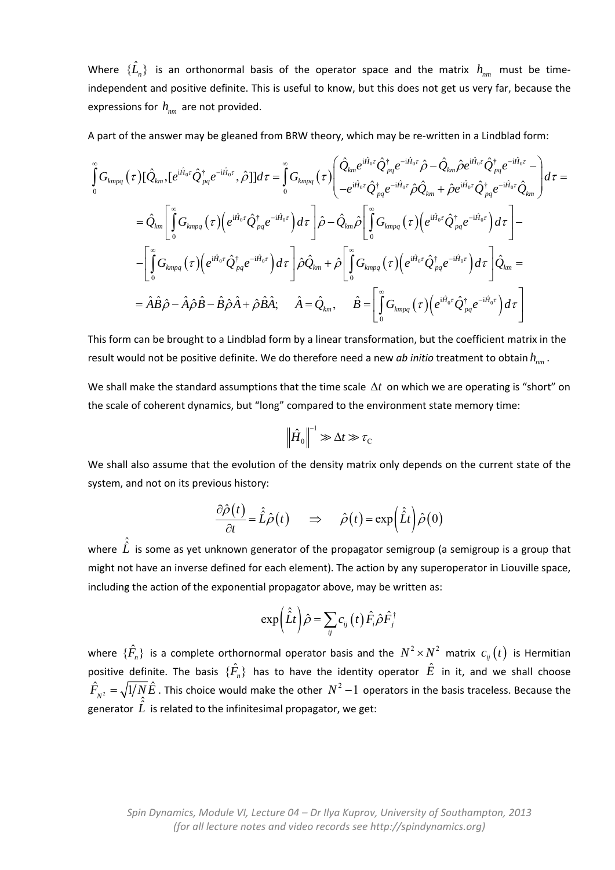Where  $\{\hat{L}_n\}$  is an orthonormal basis of the operator space and the matrix  $h_{nm}$  must be timeindependent and positive definite. This is useful to know, but this does not get us very far, because the expressions for  $h_{nm}$  are not provided.

A part of the answer may be gleaned from BRW theory, which may be re-written in a Lindblad form:

$$
\int_{0}^{\infty} G_{kmpq}(\tau) [\hat{Q}_{km},[e^{i\hat{H}_{0}\tau}\hat{Q}_{pq}^{\dagger}e^{-i\hat{H}_{0}\tau},\hat{\rho}]]d\tau = \int_{0}^{\infty} G_{kmpq}(\tau) \left( \frac{\hat{Q}_{km}e^{i\hat{H}_{0}\tau}\hat{Q}_{pq}^{\dagger}e^{-i\hat{H}_{0}\tau}\hat{\rho} - \hat{Q}_{km}\hat{\rho}e^{i\hat{H}_{0}\tau}\hat{Q}_{pq}^{\dagger}e^{-i\hat{H}_{0}\tau} - \hat{Q}_{km}\hat{\rho}e^{i\hat{H}_{0}\tau}\hat{Q}_{pq}^{\dagger}e^{-i\hat{H}_{0}\tau} \hat{Q}_{km}\right) d\tau =
$$
\n
$$
= \hat{Q}_{km} \left[ \int_{0}^{\infty} G_{kmpq}(\tau) \left( e^{i\hat{H}_{0}\tau}\hat{Q}_{pq}^{\dagger}e^{-i\hat{H}_{0}\tau} \right) d\tau \right] \hat{\rho} - \hat{Q}_{km}\hat{\rho} \left[ \int_{0}^{\infty} G_{kmpq}(\tau) \left( e^{i\hat{H}_{0}\tau}\hat{Q}_{pq}^{\dagger}e^{-i\hat{H}_{0}\tau} \right) d\tau \right] - \left[ \int_{0}^{\infty} G_{kmpq}(\tau) \left( e^{i\hat{H}_{0}\tau}\hat{Q}_{pq}^{\dagger}e^{-i\hat{H}_{0}\tau} \right) d\tau \right] \hat{\rho} \hat{Q}_{km} + \hat{\rho} \left[ \int_{0}^{\infty} G_{kmpq}(\tau) \left( e^{i\hat{H}_{0}\tau}\hat{Q}_{pq}^{\dagger}e^{-i\hat{H}_{0}\tau} \right) d\tau \right] \hat{Q}_{km} =
$$
\n
$$
= \hat{A}\hat{B}\hat{\rho} - \hat{A}\hat{\rho}\hat{B} - \hat{B}\hat{\rho}\hat{A} + \hat{\rho}\hat{B}\hat{A}; \quad \hat{A} = \hat{Q}_{km}, \quad \hat{B} = \left[ \int_{0}^{\infty} G_{kmpq}(\tau) \left( e^{i\hat{H}_{0}\tau}\hat{Q}_{pq}^{\dagger}e^{-i\hat{H}_{0}\tau} \right) d\tau \right]
$$

This form can be brought to a Lindblad form by a linear transformation, but the coefficient matrix in the result would not be positive definite. We do therefore need a new *ab initio* treatment to obtain  $h_{mn}$ .

We shall make the standard assumptions that the time scale  $\Delta t$  on which we are operating is "short" on the scale of coherent dynamics, but "long" compared to the environment state memory time:

$$
\left\|\hat{H}_0\right\|^{-1}\gg\Delta t\gg\tau_{\rm C}
$$

We shall also assume that the evolution of the density matrix only depends on the current state of the system, and not on its previous history:

$$
\frac{\partial \hat{\rho}(t)}{\partial t} = \hat{L}\hat{\rho}(t) \qquad \Rightarrow \qquad \hat{\rho}(t) = \exp\left(\hat{L}t\right)\hat{\rho}(0)
$$

where  $\hat{\hat{L}}$  is some as yet unknown generator of the propagator semigroup (a semigroup is a group that might not have an inverse defined for each element). The action by any superoperator in Liouville space, including the action of the exponential propagator above, may be written as:

$$
\exp\left(\hat{L}t\right)\hat{\rho}=\sum_{ij}c_{ij}\left(t\right)\hat{F}_{i}\hat{\rho}\hat{F}_{j}^{\dagger}
$$

where  $\{\hat{F}_n\}$  is a complete orthornormal operator basis and the  $N^2 \times N^2$  matrix  $c_{ij}(t)$  is Hermitian positive definite. The basis  $\{\hat{F}_n\}$  has to have the identity operator  $\hat{E}$  in it, and we shall choose  $\hat{F}_{_{N^2}}=\sqrt{1/\bar{N}}\hat{E}$  . This choice would make the other  $~N^2-1~$  operators in the basis traceless. Because the  $\overline{\hat{f}}$   $\overline{\hat{f}}$   $\overline{\hat{f}}$  is related to the infinitesimal propagator, we get: